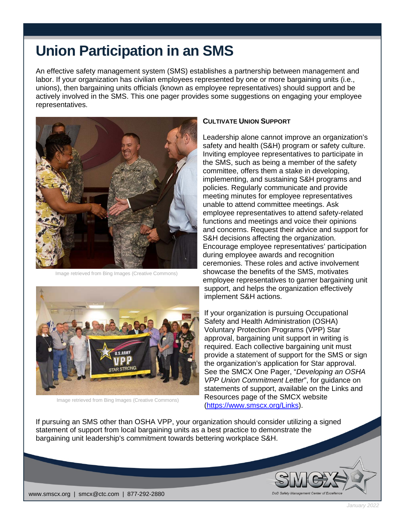## **Union Participation in an SMS**

An effective safety management system (SMS) establishes a partnership between management and labor. If your organization has civilian employees represented by one or more bargaining units (i.e., unions), then bargaining units officials (known as employee representatives) should support and be actively involved in the SMS. This one pager provides some suggestions on engaging your employee representatives.



Image retrieved from Bing Images (Creative Commons)



Image retrieved from Bing Images (Creative Commons)

## **CULTIVATE UNION SUPPORT**

Leadership alone cannot improve an organization's safety and health (S&H) program or safety culture. Inviting employee representatives to participate in the SMS, such as being a member of the safety committee, offers them a stake in developing, implementing, and sustaining S&H programs and policies. Regularly communicate and provide meeting minutes for employee representatives unable to attend committee meetings. Ask employee representatives to attend safety-related functions and meetings and voice their opinions and concerns. Request their advice and support for S&H decisions affecting the organization. Encourage employee representatives' participation during employee awards and recognition ceremonies. These roles and active involvement showcase the benefits of the SMS, motivates employee representatives to garner bargaining unit support, and helps the organization effectively implement S&H actions.

If your organization is pursuing Occupational Safety and Health Administration (OSHA) Voluntary Protection Programs (VPP) Star approval, bargaining unit support in writing is required. Each collective bargaining unit must provide a statement of support for the SMS or sign the organization's application for Star approval. See the SMCX One Pager, "*Developing an OSHA VPP Union Commitment Letter*", for guidance on statements of support, available on the Links and Resources page of the SMCX website [\(https://www.smscx.org/Links\)](https://www.smscx.org/Links).

If pursuing an SMS other than OSHA VPP, your organization should consider utilizing a signed statement of support from local bargaining units as a best practice to demonstrate the bargaining unit leadership's commitment towards bettering workplace S&H.



*January 2022*